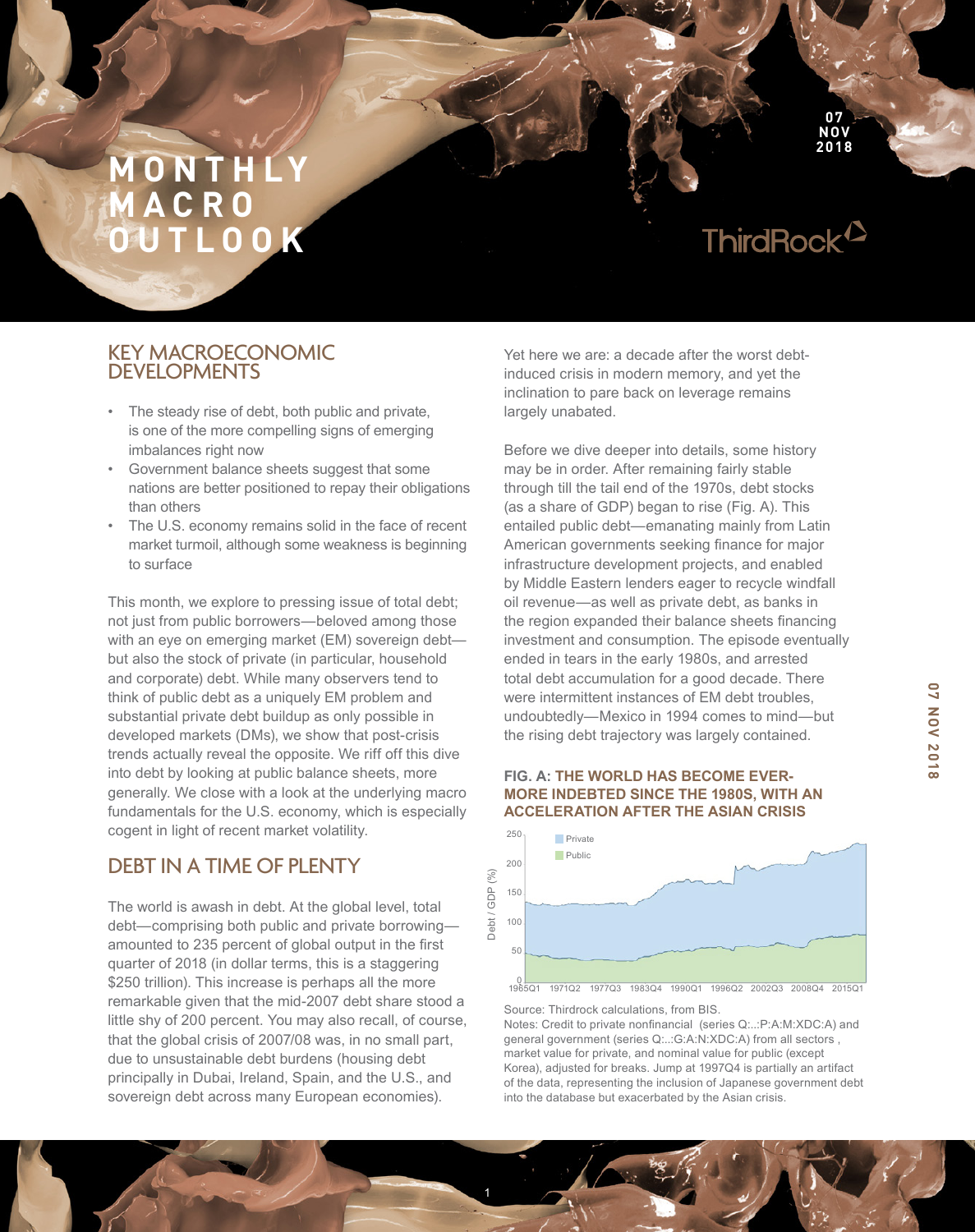ThirdRock<sup>12</sup>

**07 NOV 2018**

## KEY MACROECONOMIC DEVELOPMENTS

- The steady rise of debt, both public and private, is one of the more compelling signs of emerging imbalances right now
- Government balance sheets suggest that some nations are better positioned to repay their obligations than others
- The U.S. economy remains solid in the face of recent market turmoil, although some weakness is beginning to surface

This month, we explore to pressing issue of total debt; not just from public borrowers—beloved among those with an eye on emerging market (EM) sovereign debt but also the stock of private (in particular, household and corporate) debt. While many observers tend to think of public debt as a uniquely EM problem and substantial private debt buildup as only possible in developed markets (DMs), we show that post-crisis trends actually reveal the opposite. We riff off this dive into debt by looking at public balance sheets, more generally. We close with a look at the underlying macro fundamentals for the U.S. economy, which is especially cogent in light of recent market volatility.

# DEBT IN A TIME OF PLENTY

The world is awash in debt. At the global level, total debt—comprising both public and private borrowing amounted to 235 percent of global output in the first quarter of 2018 (in dollar terms, this is a staggering \$250 trillion). This increase is perhaps all the more remarkable given that the mid-2007 debt share stood a little shy of 200 percent. You may also recall, of course, that the global crisis of 2007/08 was, in no small part, due to unsustainable debt burdens (housing debt principally in Dubai, Ireland, Spain, and the U.S., and sovereign debt across many European economies).

Yet here we are: a decade after the worst debtinduced crisis in modern memory, and yet the inclination to pare back on leverage remains largely unabated.

Before we dive deeper into details, some history may be in order. After remaining fairly stable through till the tail end of the 1970s, debt stocks (as a share of GDP) began to rise (Fig. A). This entailed public debt—emanating mainly from Latin American governments seeking finance for major infrastructure development projects, and enabled by Middle Eastern lenders eager to recycle windfall oil revenue—as well as private debt, as banks in the region expanded their balance sheets fnancing investment and consumption. The episode eventually ended in tears in the early 1980s, and arrested total debt accumulation for a good decade. There were intermittent instances of EM debt troubles, undoubtedly—Mexico in 1994 comes to mind—but the rising debt trajectory was largely contained.

### **FIG. A: THE WORLD HAS BECOME EVER-MORE INDEBTED SINCE THE 1980S, WITH AN ACCELERATION AFTER THE ASIAN CRISIS**



Source: Thirdrock calculations, from BIS.

Notes: Credit to private nonfnancial (series Q:..:P:A:M:XDC:A) and general government (series Q:..:G:A:N:XDC:A) from all sectors , market value for private, and nominal value for public (except Korea), adjusted for breaks. Jump at 1997Q4 is partially an artifact of the data, representing the inclusion of Japanese government debt into the database but exacerbated by the Asian crisis.

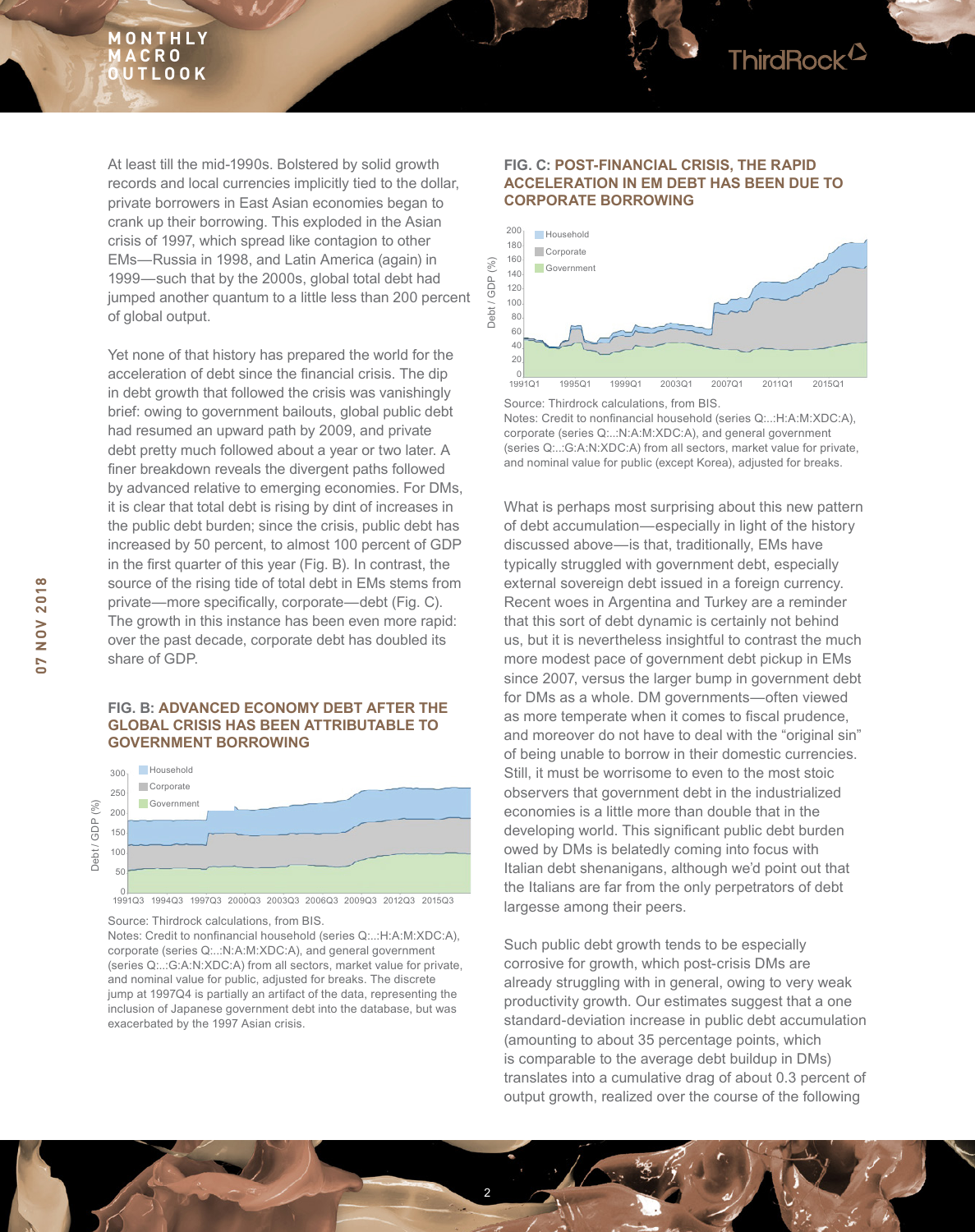At least till the mid-1990s. Bolstered by solid growth records and local currencies implicitly tied to the dollar, private borrowers in East Asian economies began to crank up their borrowing. This exploded in the Asian crisis of 1997, which spread like contagion to other EMs—Russia in 1998, and Latin America (again) in 1999—such that by the 2000s, global total debt had jumped another quantum to a little less than 200 percent of global output.

Yet none of that history has prepared the world for the acceleration of debt since the fnancial crisis. The dip in debt growth that followed the crisis was vanishingly brief: owing to government bailouts, global public debt had resumed an upward path by 2009, and private debt pretty much followed about a year or two later. A fner breakdown reveals the divergent paths followed by advanced relative to emerging economies. For DMs, it is clear that total debt is rising by dint of increases in the public debt burden; since the crisis, public debt has increased by 50 percent, to almost 100 percent of GDP in the frst quarter of this year (Fig. B). In contrast, the source of the rising tide of total debt in EMs stems from private—more specifically, corporate—debt (Fig. C). The growth in this instance has been even more rapid: over the past decade, corporate debt has doubled its share of GDP.

#### **FIG. B: ADVANCED ECONOMY DEBT AFTER THE GLOBAL CRISIS HAS BEEN ATTRIBUTABLE TO GOVERNMENT BORROWING**



Source: Thirdrock calculations, from BIS. Notes: Credit to nonfnancial household (series Q:..:H:A:M:XDC:A), corporate (series Q:..:N:A:M:XDC:A), and general government (series Q:..:G:A:N:XDC:A) from all sectors, market value for private, and nominal value for public, adjusted for breaks. The discrete jump at 1997Q4 is partially an artifact of the data, representing the inclusion of Japanese government debt into the database, but was exacerbated by the 1997 Asian crisis.

#### **FIG. C: POST-FINANCIAL CRISIS, THE RAPID ACCELERATION IN EM DEBT HAS BEEN DUE TO CORPORATE BORROWING**

ThirdRock<sup>2</sup>



Source: Thirdrock calculations, from BIS. Notes: Credit to nonfnancial household (series Q:..:H:A:M:XDC:A), corporate (series Q:..:N:A:M:XDC:A), and general government (series Q:..:G:A:N:XDC:A) from all sectors, market value for private, and nominal value for public (except Korea), adjusted for breaks.

What is perhaps most surprising about this new pattern of debt accumulation—especially in light of the history discussed above—is that, traditionally, EMs have typically struggled with government debt, especially external sovereign debt issued in a foreign currency. Recent woes in Argentina and Turkey are a reminder that this sort of debt dynamic is certainly not behind us, but it is nevertheless insightful to contrast the much more modest pace of government debt pickup in EMs since 2007, versus the larger bump in government debt for DMs as a whole. DM governments—often viewed as more temperate when it comes to fiscal prudence, and moreover do not have to deal with the "original sin" of being unable to borrow in their domestic currencies. Still, it must be worrisome to even to the most stoic observers that government debt in the industrialized economies is a little more than double that in the developing world. This significant public debt burden owed by DMs is belatedly coming into focus with Italian debt shenanigans, although we'd point out that the Italians are far from the only perpetrators of debt largesse among their peers.

Such public debt growth tends to be especially corrosive for growth, which post-crisis DMs are already struggling with in general, owing to very weak productivity growth. Our estimates suggest that a one standard-deviation increase in public debt accumulation (amounting to about 35 percentage points, which is comparable to the average debt buildup in DMs) translates into a cumulative drag of about 0.3 percent of output growth, realized over the course of the following

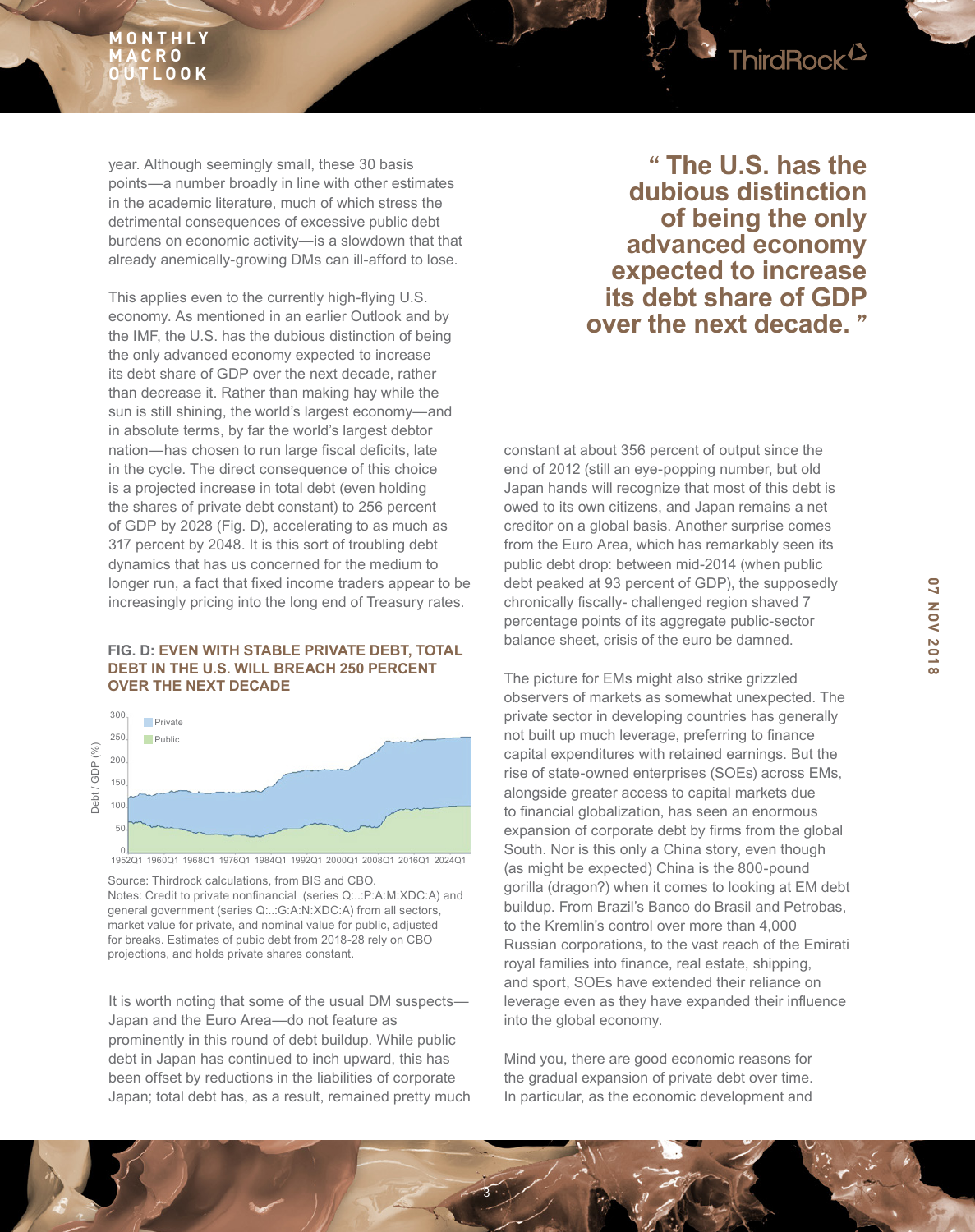

year. Although seemingly small, these 30 basis points—a number broadly in line with other estimates in the academic literature, much of which stress the detrimental consequences of excessive public debt burdens on economic activity—is a slowdown that that already anemically-growing DMs can ill-afford to lose.

This applies even to the currently high-fying U.S. economy. As mentioned in an earlier Outlook and by the IMF, the U.S. has the dubious distinction of being the only advanced economy expected to increase its debt share of GDP over the next decade, rather than decrease it. Rather than making hay while the sun is still shining, the world's largest economy—and in absolute terms, by far the world's largest debtor nation—has chosen to run large fiscal deficits, late in the cycle. The direct consequence of this choice is a projected increase in total debt (even holding the shares of private debt constant) to 256 percent of GDP by 2028 (Fig. D), accelerating to as much as 317 percent by 2048. It is this sort of troubling debt dynamics that has us concerned for the medium to longer run, a fact that fixed income traders appear to be increasingly pricing into the long end of Treasury rates.

## **FIG. D: EVEN WITH STABLE PRIVATE DEBT, TOTAL DEBT IN THE U.S. WILL BREACH 250 PERCENT OVER THE NEXT DECADE**



0 1952Q1 1960Q1 1968Q1 1976Q1 1984Q1 1992Q1 2000Q1 2008Q1 2016Q1 2024Q1

Source: Thirdrock calculations, from BIS and CBO. Notes: Credit to private nonfnancial (series Q:..:P:A:M:XDC:A) and general government (series Q:..:G:A:N:XDC:A) from all sectors, market value for private, and nominal value for public, adjusted for breaks. Estimates of pubic debt from 2018-28 rely on CBO projections, and holds private shares constant.

It is worth noting that some of the usual DM suspects— Japan and the Euro Area—do not feature as prominently in this round of debt buildup. While public debt in Japan has continued to inch upward, this has been offset by reductions in the liabilities of corporate Japan; total debt has, as a result, remained pretty much

**" The U.S. has the dubious distinction of being the only advanced economy expected to increase its debt share of GDP over the next decade. "**

constant at about 356 percent of output since the end of 2012 (still an eye-popping number, but old Japan hands will recognize that most of this debt is owed to its own citizens, and Japan remains a net creditor on a global basis. Another surprise comes from the Euro Area, which has remarkably seen its public debt drop: between mid-2014 (when public debt peaked at 93 percent of GDP), the supposedly chronically fiscally- challenged region shaved 7 percentage points of its aggregate public-sector balance sheet, crisis of the euro be damned.

The picture for EMs might also strike grizzled observers of markets as somewhat unexpected. The private sector in developing countries has generally not built up much leverage, preferring to finance capital expenditures with retained earnings. But the rise of state-owned enterprises (SOEs) across EMs, alongside greater access to capital markets due to financial globalization, has seen an enormous expansion of corporate debt by frms from the global South. Nor is this only a China story, even though (as might be expected) China is the 800-pound gorilla (dragon?) when it comes to looking at EM debt buildup. From Brazil's Banco do Brasil and Petrobas, to the Kremlin's control over more than 4,000 Russian corporations, to the vast reach of the Emirati royal families into finance, real estate, shipping, and sport, SOEs have extended their reliance on leverage even as they have expanded their infuence into the global economy.

Mind you, there are good economic reasons for the gradual expansion of private debt over time. In particular, as the economic development and

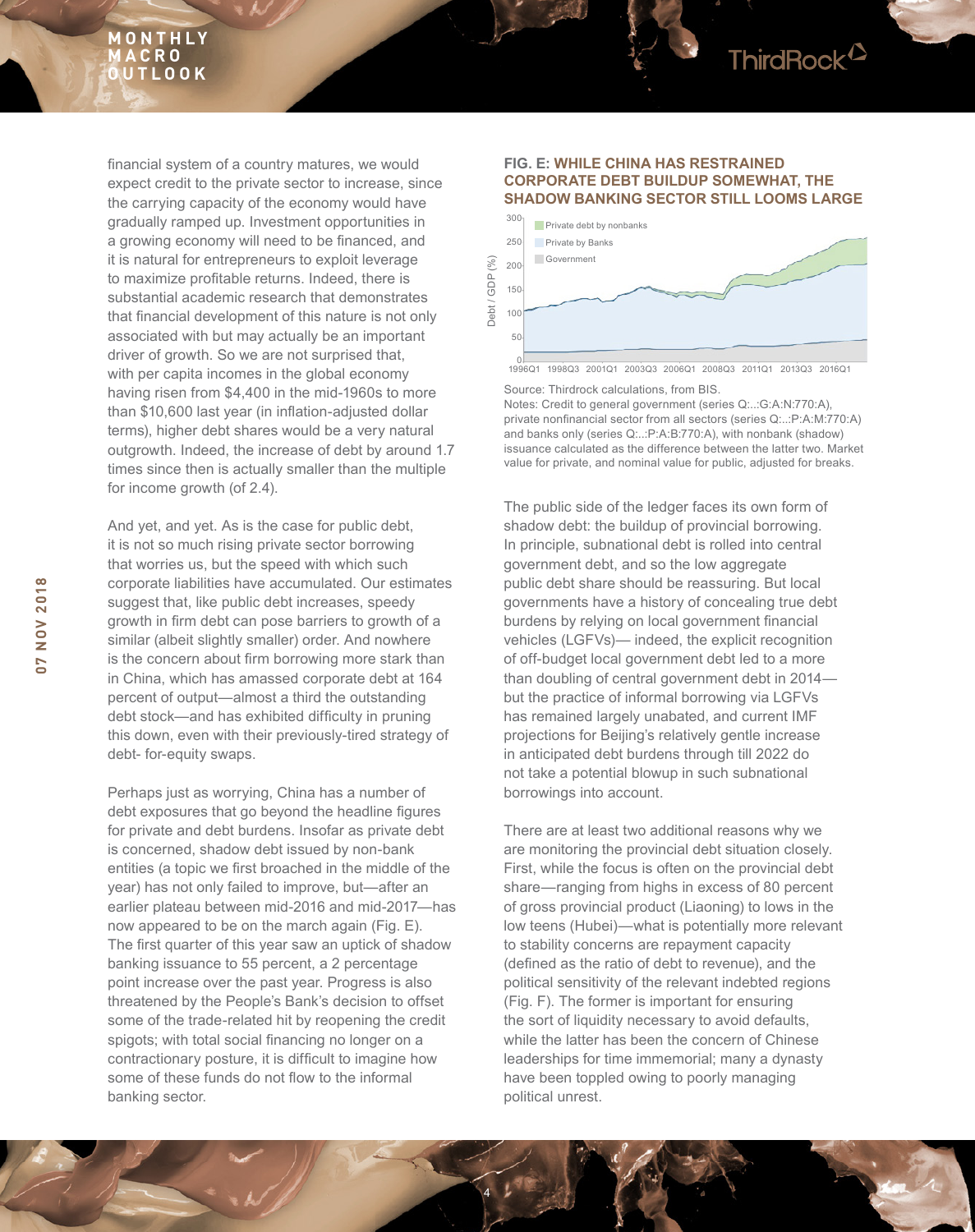fnancial system of a country matures, we would expect credit to the private sector to increase, since the carrying capacity of the economy would have gradually ramped up. Investment opportunities in a growing economy will need to be fnanced, and it is natural for entrepreneurs to exploit leverage to maximize proftable returns. Indeed, there is substantial academic research that demonstrates that fnancial development of this nature is not only associated with but may actually be an important driver of growth. So we are not surprised that, with per capita incomes in the global economy having risen from \$4,400 in the mid-1960s to more than \$10,600 last year (in infation-adjusted dollar terms), higher debt shares would be a very natural outgrowth. Indeed, the increase of debt by around 1.7 times since then is actually smaller than the multiple for income growth (of 2.4).

And yet, and yet. As is the case for public debt, it is not so much rising private sector borrowing that worries us, but the speed with which such corporate liabilities have accumulated. Our estimates suggest that, like public debt increases, speedy growth in frm debt can pose barriers to growth of a similar (albeit slightly smaller) order. And nowhere is the concern about firm borrowing more stark than in China, which has amassed corporate debt at 164 percent of output—almost a third the outstanding debt stock—and has exhibited difficulty in pruning this down, even with their previously-tired strategy of debt- for-equity swaps.

Perhaps just as worrying, China has a number of debt exposures that go beyond the headline figures for private and debt burdens. Insofar as private debt is concerned, shadow debt issued by non-bank entities (a topic we frst broached in the middle of the year) has not only failed to improve, but—after an earlier plateau between mid-2016 and mid-2017—has now appeared to be on the march again (Fig. E). The first quarter of this year saw an uptick of shadow banking issuance to 55 percent, a 2 percentage point increase over the past year. Progress is also threatened by the People's Bank's decision to offset some of the trade-related hit by reopening the credit spigots; with total social fnancing no longer on a contractionary posture, it is difficult to imagine how some of these funds do not flow to the informal banking sector.

#### **FIG. E: WHILE CHINA HAS RESTRAINED CORPORATE DEBT BUILDUP SOMEWHAT, THE SHADOW BANKING SECTOR STILL LOOMS LARGE**



Source: Thirdrock calculations, from BIS.

Notes: Credit to general government (series Q:..:G:A:N:770:A), private nonfnancial sector from all sectors (series Q:..:P:A:M:770:A) and banks only (series Q:..:P:A:B:770:A), with nonbank (shadow) issuance calculated as the difference between the latter two. Market value for private, and nominal value for public, adjusted for breaks.

The public side of the ledger faces its own form of shadow debt: the buildup of provincial borrowing. In principle, subnational debt is rolled into central government debt, and so the low aggregate public debt share should be reassuring. But local governments have a history of concealing true debt burdens by relying on local government fnancial vehicles (LGFVs)— indeed, the explicit recognition of off-budget local government debt led to a more than doubling of central government debt in 2014 but the practice of informal borrowing via LGFVs has remained largely unabated, and current IMF projections for Beijing's relatively gentle increase in anticipated debt burdens through till 2022 do not take a potential blowup in such subnational borrowings into account.

There are at least two additional reasons why we are monitoring the provincial debt situation closely. First, while the focus is often on the provincial debt share—ranging from highs in excess of 80 percent of gross provincial product (Liaoning) to lows in the low teens (Hubei)—what is potentially more relevant to stability concerns are repayment capacity (defned as the ratio of debt to revenue), and the political sensitivity of the relevant indebted regions (Fig. F). The former is important for ensuring the sort of liquidity necessary to avoid defaults, while the latter has been the concern of Chinese leaderships for time immemorial; many a dynasty have been toppled owing to poorly managing political unrest.

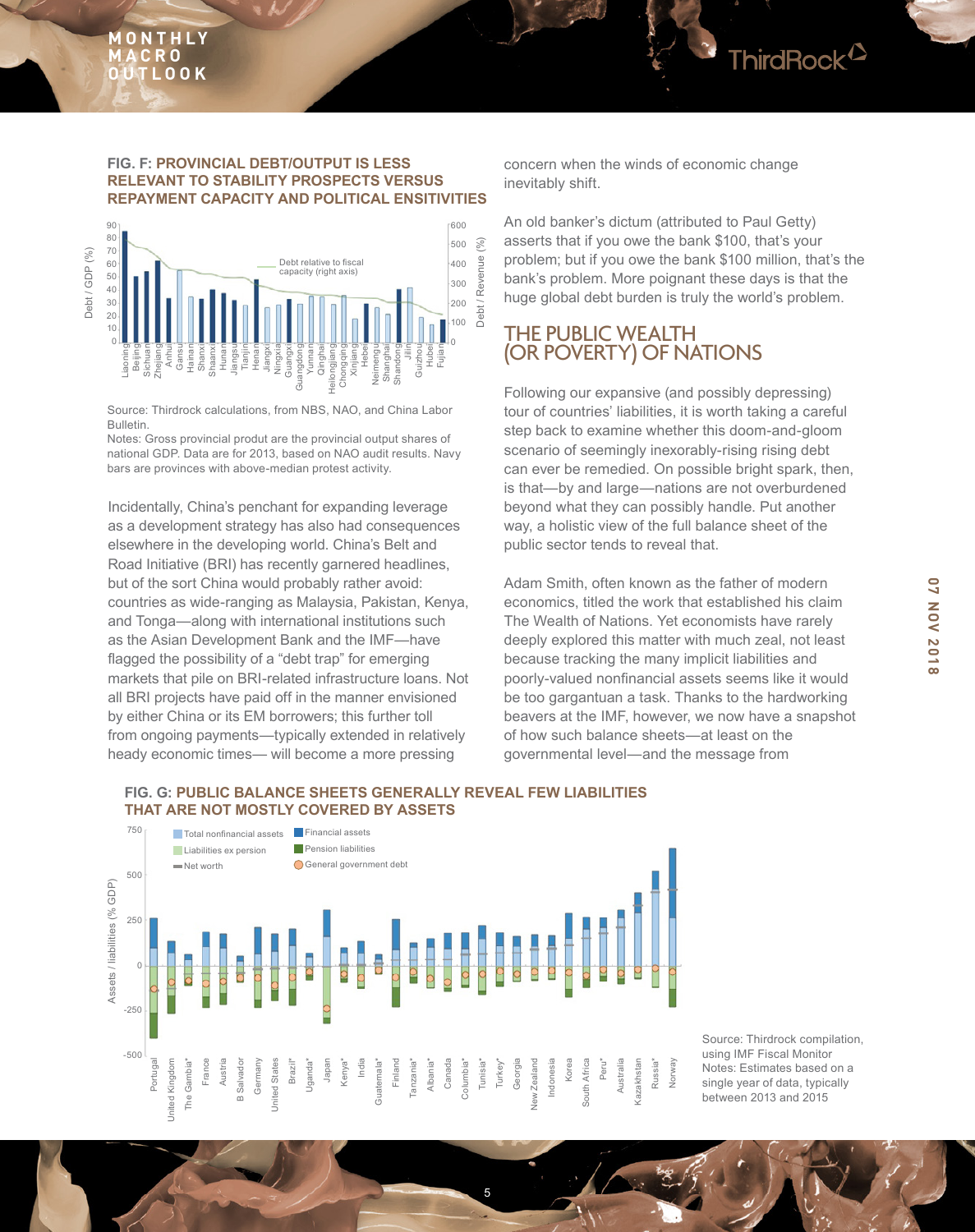

### **FIG. F: PROVINCIAL DEBT/OUTPUT IS LESS RELEVANT TO STABILITY PROSPECTS VERSUS REPAYMENT CAPACITY AND POLITICAL ENSITIVITIES**



Source: Thirdrock calculations, from NBS, NAO, and China Labor Bulletin.

Notes: Gross provincial produt are the provincial output shares of national GDP. Data are for 2013, based on NAO audit results. Navy bars are provinces with above-median protest activity.

Incidentally, China's penchant for expanding leverage as a development strategy has also had consequences elsewhere in the developing world. China's Belt and Road Initiative (BRI) has recently garnered headlines, but of the sort China would probably rather avoid: countries as wide-ranging as Malaysia, Pakistan, Kenya, and Tonga—along with international institutions such as the Asian Development Bank and the IMF—have flagged the possibility of a "debt trap" for emerging markets that pile on BRI-related infrastructure loans. Not all BRI projects have paid off in the manner envisioned by either China or its EM borrowers; this further toll from ongoing payments—typically extended in relatively heady economic times— will become a more pressing

concern when the winds of economic change inevitably shift.

An old banker's dictum (attributed to Paul Getty) asserts that if you owe the bank \$100, that's your problem; but if you owe the bank \$100 million, that's the bank's problem. More poignant these days is that the huge global debt burden is truly the world's problem.

## THE PUBLIC WEALTH (OR POVERTY) OF NATIONS

Following our expansive (and possibly depressing) tour of countries' liabilities, it is worth taking a careful step back to examine whether this doom-and-gloom scenario of seemingly inexorably-rising rising debt can ever be remedied. On possible bright spark, then, is that—by and large—nations are not overburdened beyond what they can possibly handle. Put another way, a holistic view of the full balance sheet of the public sector tends to reveal that.

Adam Smith, often known as the father of modern economics, titled the work that established his claim The Wealth of Nations. Yet economists have rarely deeply explored this matter with much zeal, not least because tracking the many implicit liabilities and poorly-valued nonfnancial assets seems like it would be too gargantuan a task. Thanks to the hardworking beavers at the IMF, however, we now have a snapshot of how such balance sheets—at least on the governmental level—and the message from

## **FIG. G: PUBLIC BALANCE SHEETS GENERALLY REVEAL FEW LIABILITIES THAT ARE NOT MOSTLY COVERED BY ASSETS**



5

Source: Thirdrock compilation, using IMF Fiscal Monitor Notes: Estimates based on a single year of data, typically between 2013 and 2015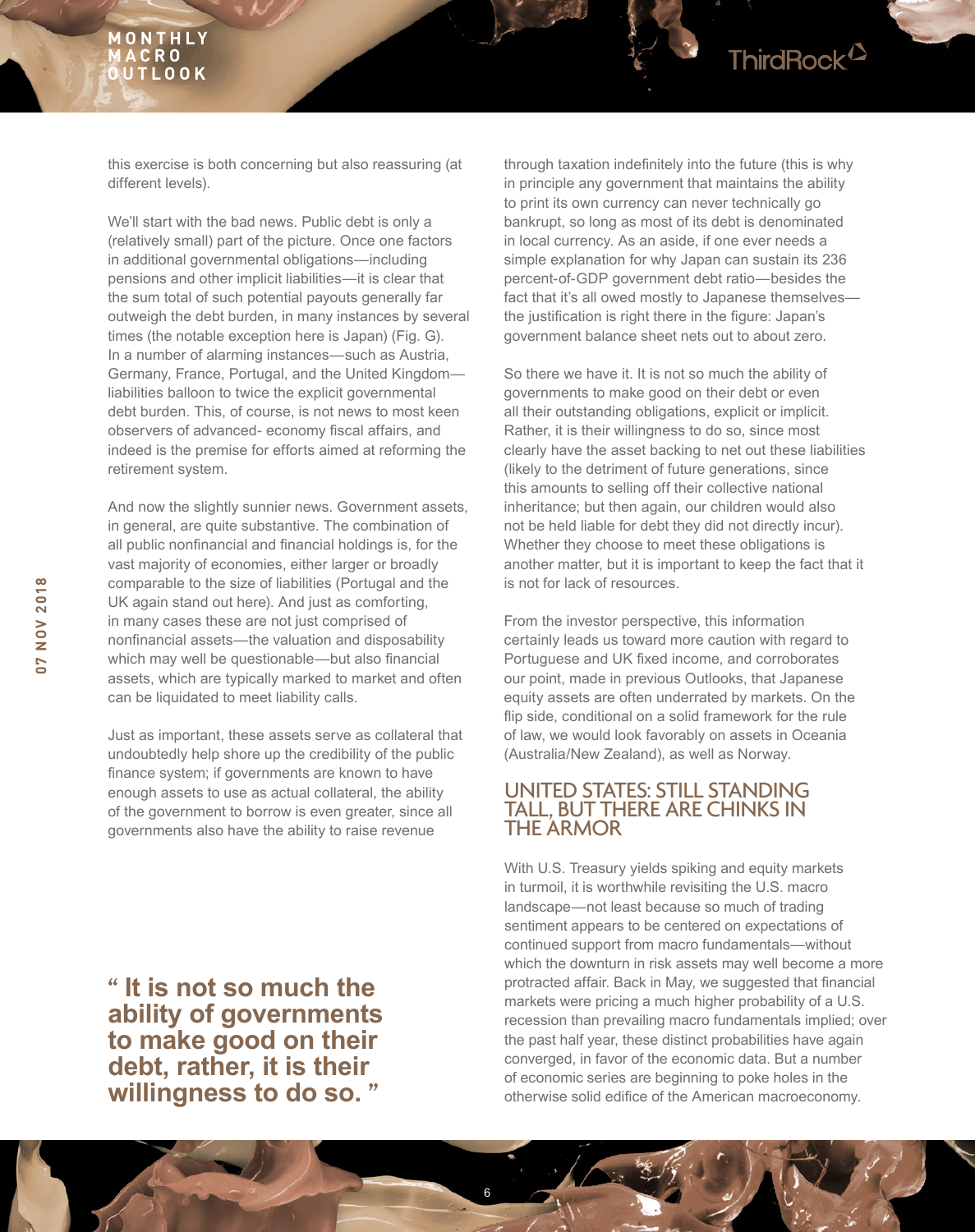this exercise is both concerning but also reassuring (at different levels).

We'll start with the bad news. Public debt is only a (relatively small) part of the picture. Once one factors in additional governmental obligations—including pensions and other implicit liabilities—it is clear that the sum total of such potential payouts generally far outweigh the debt burden, in many instances by several times (the notable exception here is Japan) (Fig. G). In a number of alarming instances—such as Austria, Germany, France, Portugal, and the United Kingdom liabilities balloon to twice the explicit governmental debt burden. This, of course, is not news to most keen observers of advanced- economy fiscal affairs, and indeed is the premise for efforts aimed at reforming the retirement system.

And now the slightly sunnier news. Government assets, in general, are quite substantive. The combination of all public nonfnancial and fnancial holdings is, for the vast majority of economies, either larger or broadly comparable to the size of liabilities (Portugal and the UK again stand out here). And just as comforting, in many cases these are not just comprised of nonfnancial assets—the valuation and disposability which may well be questionable—but also financial assets, which are typically marked to market and often can be liquidated to meet liability calls.

Just as important, these assets serve as collateral that undoubtedly help shore up the credibility of the public fnance system; if governments are known to have enough assets to use as actual collateral, the ability of the government to borrow is even greater, since all governments also have the ability to raise revenue

**" It is not so much the ability of governments to make good on their debt, rather, it is their willingness to do so. "**

through taxation indefnitely into the future (this is why in principle any government that maintains the ability to print its own currency can never technically go bankrupt, so long as most of its debt is denominated in local currency. As an aside, if one ever needs a simple explanation for why Japan can sustain its 236 percent-of-GDP government debt ratio—besides the fact that it's all owed mostly to Japanese themselves the justification is right there in the figure: Japan's government balance sheet nets out to about zero.

So there we have it. It is not so much the ability of governments to make good on their debt or even all their outstanding obligations, explicit or implicit. Rather, it is their willingness to do so, since most clearly have the asset backing to net out these liabilities (likely to the detriment of future generations, since this amounts to selling off their collective national inheritance; but then again, our children would also not be held liable for debt they did not directly incur). Whether they choose to meet these obligations is another matter, but it is important to keep the fact that it is not for lack of resources.

From the investor perspective, this information certainly leads us toward more caution with regard to Portuguese and UK fixed income, and corroborates our point, made in previous Outlooks, that Japanese equity assets are often underrated by markets. On the fip side, conditional on a solid framework for the rule of law, we would look favorably on assets in Oceania (Australia/New Zealand), as well as Norway.

## UNITED STATES: STILL STANDING TALL, BUT THERE ARE CHINKS IN THE ARMOR

6

With U.S. Treasury yields spiking and equity markets in turmoil, it is worthwhile revisiting the U.S. macro landscape—not least because so much of trading sentiment appears to be centered on expectations of continued support from macro fundamentals—without which the downturn in risk assets may well become a more protracted affair. Back in May, we suggested that fnancial markets were pricing a much higher probability of a U.S. recession than prevailing macro fundamentals implied; over the past half year, these distinct probabilities have again converged, in favor of the economic data. But a number of economic series are beginning to poke holes in the otherwise solid edifice of the American macroeconomy.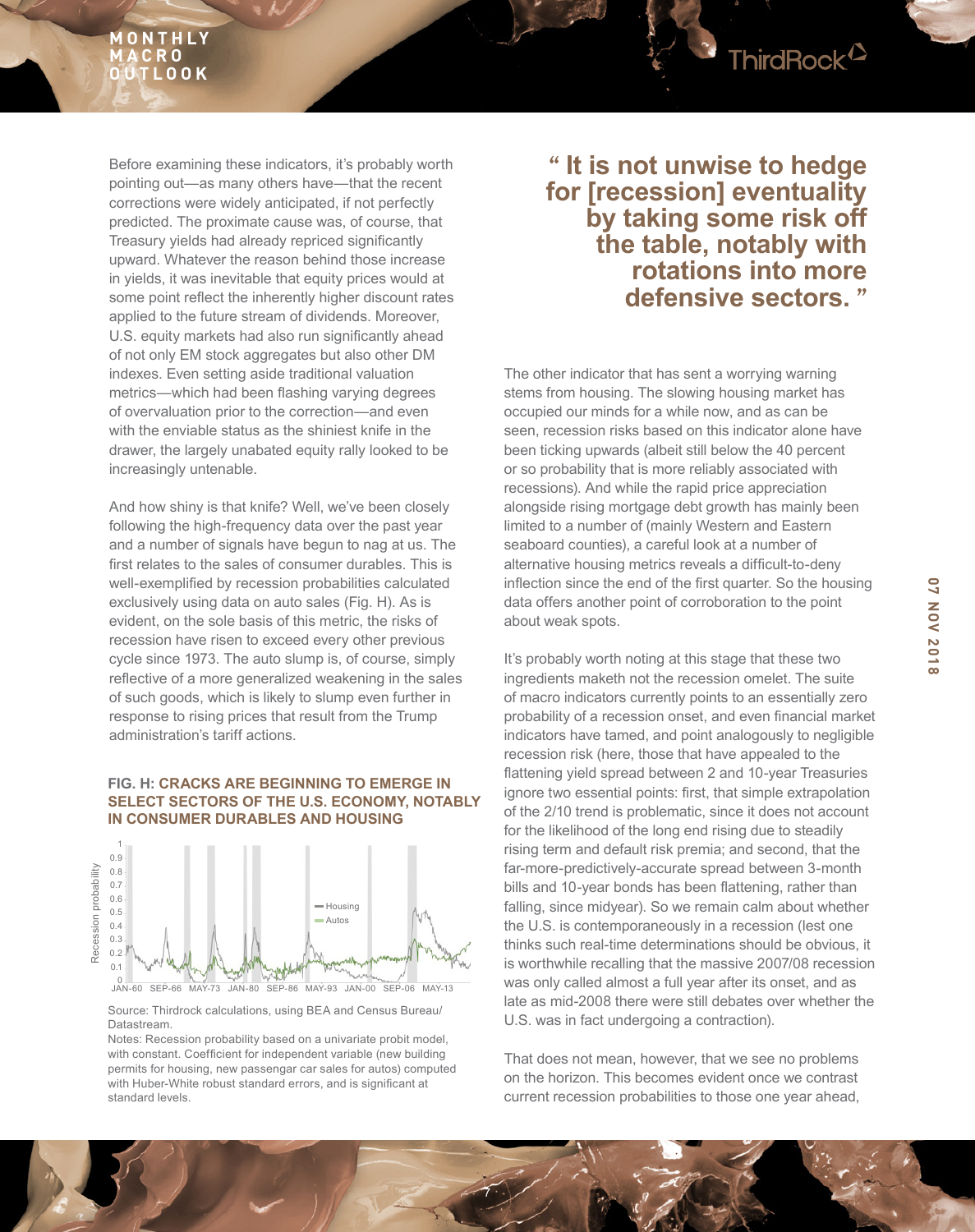

And how shiny is that knife? Well, we've been closely following the high-frequency data over the past year and a number of signals have begun to nag at us. The frst relates to the sales of consumer durables. This is well-exemplifed by recession probabilities calculated exclusively using data on auto sales (Fig. H). As is evident, on the sole basis of this metric, the risks of recession have risen to exceed every other previous cycle since 1973. The auto slump is, of course, simply reflective of a more generalized weakening in the sales of such goods, which is likely to slump even further in response to rising prices that result from the Trump administration's tariff actions.

## **FIG. H: CRACKS ARE BEGINNING TO EMERGE IN SELECT SECTORS OF THE U.S. ECONOMY, NOTABLY IN CONSUMER DURABLES AND HOUSING**



Source: Thirdrock calculations, using BEA and Census Bureau/ Datastream.

Notes: Recession probability based on a univariate probit model, with constant. Coefficient for independent variable (new building permits for housing, new passengar car sales for autos) computed with Huber-White robust standard errors, and is significant at standard levels.

# **" It is not unwise to hedge for [recession] eventuality by taking some risk off the table, notably with rotations into more defensive sectors. "**

The other indicator that has sent a worrying warning stems from housing. The slowing housing market has occupied our minds for a while now, and as can be seen, recession risks based on this indicator alone have been ticking upwards (albeit still below the 40 percent or so probability that is more reliably associated with recessions). And while the rapid price appreciation alongside rising mortgage debt growth has mainly been limited to a number of (mainly Western and Eastern seaboard counties), a careful look at a number of alternative housing metrics reveals a difficult-to-deny inflection since the end of the first quarter. So the housing data offers another point of corroboration to the point about weak spots.

It's probably worth noting at this stage that these two ingredients maketh not the recession omelet. The suite of macro indicators currently points to an essentially zero probability of a recession onset, and even fnancial market indicators have tamed, and point analogously to negligible recession risk (here, those that have appealed to the fattening yield spread between 2 and 10-year Treasuries ignore two essential points: first, that simple extrapolation of the 2/10 trend is problematic, since it does not account for the likelihood of the long end rising due to steadily rising term and default risk premia; and second, that the far-more-predictively-accurate spread between 3-month bills and 10-year bonds has been fattening, rather than falling, since midyear). So we remain calm about whether the U.S. is contemporaneously in a recession (lest one thinks such real-time determinations should be obvious, it is worthwhile recalling that the massive 2007/08 recession was only called almost a full year after its onset, and as late as mid-2008 there were still debates over whether the U.S. was in fact undergoing a contraction).

That does not mean, however, that we see no problems on the horizon. This becomes evident once we contrast current recession probabilities to those one year ahead,

7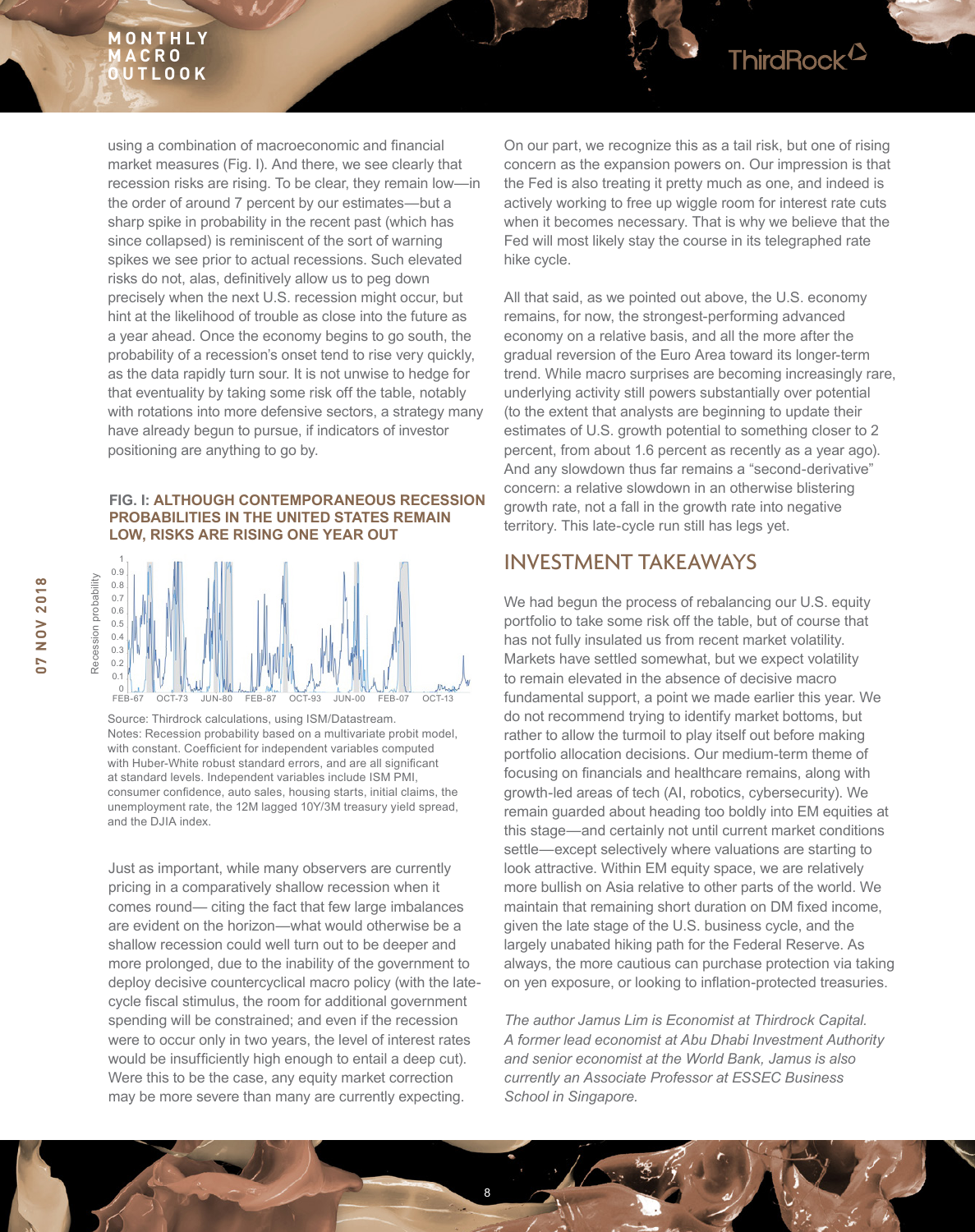using a combination of macroeconomic and fnancial market measures (Fig. I). And there, we see clearly that recession risks are rising. To be clear, they remain low—in the order of around 7 percent by our estimates—but a sharp spike in probability in the recent past (which has since collapsed) is reminiscent of the sort of warning spikes we see prior to actual recessions. Such elevated risks do not, alas, defnitively allow us to peg down precisely when the next U.S. recession might occur, but hint at the likelihood of trouble as close into the future as a year ahead. Once the economy begins to go south, the probability of a recession's onset tend to rise very quickly, as the data rapidly turn sour. It is not unwise to hedge for that eventuality by taking some risk off the table, notably with rotations into more defensive sectors, a strategy many have already begun to pursue, if indicators of investor positioning are anything to go by.

#### **FIG. I: ALTHOUGH CONTEMPORANEOUS RECESSION PROBABILITIES IN THE UNITED STATES REMAIN LOW, RISKS ARE RISING ONE YEAR OUT**



Source: Thirdrock calculations, using ISM/Datastream. Notes: Recession probability based on a multivariate probit model, with constant. Coefficient for independent variables computed with Huber-White robust standard errors, and are all significant at standard levels. Independent variables include ISM PMI, consumer confdence, auto sales, housing starts, initial claims, the unemployment rate, the 12M lagged 10Y/3M treasury yield spread, and the DJIA index.

Just as important, while many observers are currently pricing in a comparatively shallow recession when it comes round— citing the fact that few large imbalances are evident on the horizon—what would otherwise be a shallow recession could well turn out to be deeper and more prolonged, due to the inability of the government to deploy decisive countercyclical macro policy (with the latecycle fiscal stimulus, the room for additional government spending will be constrained; and even if the recession were to occur only in two years, the level of interest rates would be insufficiently high enough to entail a deep cut). Were this to be the case, any equity market correction may be more severe than many are currently expecting.

On our part, we recognize this as a tail risk, but one of rising concern as the expansion powers on. Our impression is that the Fed is also treating it pretty much as one, and indeed is actively working to free up wiggle room for interest rate cuts when it becomes necessary. That is why we believe that the Fed will most likely stay the course in its telegraphed rate hike cycle.

ThirdRock<sup>12</sup>

All that said, as we pointed out above, the U.S. economy remains, for now, the strongest-performing advanced economy on a relative basis, and all the more after the gradual reversion of the Euro Area toward its longer-term trend. While macro surprises are becoming increasingly rare, underlying activity still powers substantially over potential (to the extent that analysts are beginning to update their estimates of U.S. growth potential to something closer to 2 percent, from about 1.6 percent as recently as a year ago). And any slowdown thus far remains a "second-derivative" concern: a relative slowdown in an otherwise blistering growth rate, not a fall in the growth rate into negative territory. This late-cycle run still has legs yet.

# INVESTMENT TAKEAWAYS

We had begun the process of rebalancing our U.S. equity portfolio to take some risk off the table, but of course that has not fully insulated us from recent market volatility. Markets have settled somewhat, but we expect volatility to remain elevated in the absence of decisive macro fundamental support, a point we made earlier this year. We do not recommend trying to identify market bottoms, but rather to allow the turmoil to play itself out before making portfolio allocation decisions. Our medium-term theme of focusing on fnancials and healthcare remains, along with growth-led areas of tech (AI, robotics, cybersecurity). We remain guarded about heading too boldly into EM equities at this stage—and certainly not until current market conditions settle—except selectively where valuations are starting to look attractive. Within EM equity space, we are relatively more bullish on Asia relative to other parts of the world. We maintain that remaining short duration on DM fxed income, given the late stage of the U.S. business cycle, and the largely unabated hiking path for the Federal Reserve. As always, the more cautious can purchase protection via taking on yen exposure, or looking to infation-protected treasuries.

*The author Jamus Lim is Economist at Thirdrock Capital. A former lead economist at Abu Dhabi Investment Authority and senior economist at the World Bank, Jamus is also currently an Associate Professor at ESSEC Business School in Singapore.*